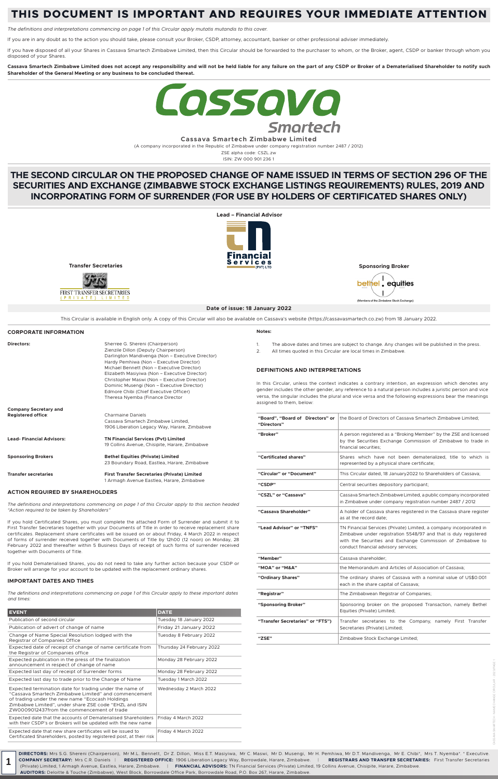**Cassava Smartech Zimbabwe Limited** 

(A company incorporated in the Republic of Zimbabwe under company registration number 2487 / 2012)

ZSE alpha code: CSZL.zw ISIN: ZW 000 901 236 1

# **THIS DOCUMENT IS IMPORTANT AND REQUIRES YOUR IMMEDIATE ATTENTION**

*The definitions and interpretations commencing on page 1 of this Circular apply mutatis mutandis to this cover.*

If you have disposed of all your Shares in Cassava Smartech Zimbabwe Limited, then this Circular should be forwarded to the purchaser to whom, or the Broker, agent, CSDP or banker through whom you disposed of your Shares.

If you are in any doubt as to the action you should take, please consult your Broker, CSDP, attorney, accountant, banker or other professional adviser immediately.

**Cassava Smartech Zimbabwe Limited does not accept any responsibility and will not be held liable for any failure on the part of any CSDP or Broker of a Dematerialised Shareholder to notify such Shareholder of the General Meeting or any business to be concluded thereat.**



# **THE SECOND CIRCULAR ON THE PROPOSED CHANGE OF NAME ISSUED IN TERMS OF SECTION 296 OF THE SECURITIES AND EXCHANGE (ZIMBABWE STOCK EXCHANGE LISTINGS REQUIREMENTS) RULES, 2019 AND INCORPORATING FORM OF SURRENDER (FOR USE BY HOLDERS OF CERTIFICATED SHARES ONLY)**



This Circular is available in English only. A copy of this Circular will also be available on Cassava's website (https://cassavasmartech.co.zw) from 18 January 2022.

# **ACTION REQUIRED BY SHAREHOLDERS**

*The definitions and interpretations commencing on page 1 of this Circular apply to this section headed "Action required to be taken by Shareholders"*

If you hold Certificated Shares, you must complete the attached Form of Surrender and submit it to First Transfer Secretaries together with your Documents of Title in order to receive replacement share certificates. Replacement share certificates will be issued on or about Friday, 4 March 2022 in respect of forms of surrender received together with Documents of Title by 12h00 (12 noon) on Monday, 28 February 2022 and thereafter within 5 Business Days of receipt of such forms of surrender received together with Documents of Title.

If you hold Dematerialised Shares, you do not need to take any further action because your CSDP or Broker will arrange for your account to be updated with the replacement ordinary shares.

# **IMPORTANT DATES AND TIMES**

| <b>CORPORATE INFORMATION</b>                              |                                                                                                                                                                          | Notes:                                                                                                                   |
|-----------------------------------------------------------|--------------------------------------------------------------------------------------------------------------------------------------------------------------------------|--------------------------------------------------------------------------------------------------------------------------|
| <b>Directors:</b>                                         | Sherree G. Shereni (Chairperson)<br>Zienzile Dillon (Deputy Chairperson)<br>Darlington Mandivenga (Non - Executive Director)<br>Hardy Pemhiwa (Non - Executive Director) | The above dates and<br>$1_{\cdot}$<br>$\mathcal{P}_{\mathcal{C}}$<br>All times quoted in th                              |
|                                                           | Michael Bennett (Non - Executive Director)<br>Elizabeth Masiyiwa (Non - Executive Director)                                                                              | <b>DEFINITIONS AND INT</b>                                                                                               |
|                                                           | Christopher Maswi (Non - Executive Director)<br>Dominic Musengi (Non – Executive Director)<br>Edmore Chibi (Chief Executive Officer)<br>Theresa Nyemba (Finance Director | In this Circular, unless the<br>gender includes the other of<br>versa, the singular includes<br>assigned to them, below: |
| <b>Company Secretary and</b><br><b>Registered office:</b> | <b>Charmaine Daniels</b><br>Cassava Smartech Zimbabwe Limited.<br>1906 Liberation Legacy Way, Harare, Zimbabwe                                                           | "Board", "Board of Direct<br>"Directors"                                                                                 |
| <b>Lead-Financial Advisors:</b>                           | <b>TN Financial Services (Pvt) Limited</b><br>19 Collins Avenue, Chisipite, Harare, Zimbabwe                                                                             | "Broker"                                                                                                                 |
| <b>Sponsoring Brokers</b>                                 | <b>Bethel Equities (Private) Limited</b><br>23 Boundary Road, Eastlea, Harare, Zimbabwe                                                                                  | "Certificated shares"                                                                                                    |
| <b>Transfer secretaries</b>                               | <b>First Transfer Secretaries (Private) Limited</b>                                                                                                                      | "Circular" or "Document"                                                                                                 |
|                                                           | 1 Armagh Avenue Eastlea, Harare, Zimbabwe                                                                                                                                | "                                                                                                                        |

- times are subject to change. Any changes will be published in the press.
- is Circular are local times in Zimbabwe.

### **ERPRETATIONS**

context indicates a contrary intention, an expression which denotes any gender, any reference to a natural person includes a juristic person and vice the plural and vice versa and the following expressions bear the meanings

*The definitions and interpretations commencing on page 1 of this Circular apply to these important dates and times:*

| <b>EVENT</b>                                                                                                                                                                                                                                                                | <b>DATE</b>               |
|-----------------------------------------------------------------------------------------------------------------------------------------------------------------------------------------------------------------------------------------------------------------------------|---------------------------|
| Publication of second circular                                                                                                                                                                                                                                              | Tuesday 18 January 2022   |
| Publication of advert of change of name                                                                                                                                                                                                                                     | Friday 21 January 2022    |
| Change of Name Special Resolution lodged with the<br>Registrar of Companies Office                                                                                                                                                                                          | Tuesday 8 February 2022   |
| Expected date of receipt of change of name certificate from<br>the Registrar of Companies office                                                                                                                                                                            | Thursday 24 February 2022 |
| Expected publication in the press of the finalization<br>announcement in respect of change of name                                                                                                                                                                          | Monday 28 February 2022   |
| Expected last day of receipt of Surrender forms                                                                                                                                                                                                                             | Monday 28 February 2022   |
| Expected last day to trade prior to the Change of Name                                                                                                                                                                                                                      | Tuesday 1 March 2022      |
| Expected termination date for trading under the name of<br>"Cassaya Smartech Zimbabwe Limited" and commencement<br>of trading under the new name "Ecocash Holdings"<br>Zimbabwe Limited", under share ZSE code "EHZL and ISIN<br>ZW0009012437from the commencement of trade | Wednesday 2 March 2022    |
| Expected date that the accounts of Dematerialised Shareholders<br>with their CSDP's or Brokers will be updated with the new name                                                                                                                                            | Friday 4 March 2022       |
| Expected date that new share certificates will be issued to<br>Certificated Shareholders, posted by registered post, at their risk                                                                                                                                          | Friday 4 March 2022       |

| "Board", "Board of Directors" or<br>"Directors" | the Board of Directors of Cassava Smartech Zimbabwe Limited;                                                                                                                                                                                |  |
|-------------------------------------------------|---------------------------------------------------------------------------------------------------------------------------------------------------------------------------------------------------------------------------------------------|--|
| "Broker"                                        | A person registered as a "Broking Member" by the ZSE and licensed<br>by the Securities Exchange Commission of Zimbabwe to trade in<br>financial securities;                                                                                 |  |
| "Certificated shares"                           | Shares which have not been dematerialized, title to which is<br>represented by a physical share certificate;                                                                                                                                |  |
| "Circular" or "Document"                        | This Circular dated, 18 January 2022 to Shareholders of Cassava;                                                                                                                                                                            |  |
| "CSDP"                                          | Central securities depository participant;                                                                                                                                                                                                  |  |
| "CSZL" or "Cassava"                             | Cassava Smartech Zimbabwe Limited, a public company incorporated<br>in Zimbabwe under company registration number 2487 / 2012                                                                                                               |  |
| "Cassava Shareholder"                           | A holder of Cassava shares registered in the Cassava share register<br>as at the record date:                                                                                                                                               |  |
| "Lead Advisor" or "TNFS"                        | TN Financial Services (Private) Limited, a company incorporated in<br>Zimbabwe under registration 5548/97 and that is duly registered<br>with the Securities and Exchange Commission of Zimbabwe to<br>conduct financial advisory services; |  |
| "Member"                                        | Cassava shareholder;                                                                                                                                                                                                                        |  |
| "MOA" or "M&A"                                  | the Memorandum and Articles of Association of Cassava;                                                                                                                                                                                      |  |
| "Ordinary Shares"                               | The ordinary shares of Cassava with a nominal value of US\$0.001<br>each in the share capital of Cassava;                                                                                                                                   |  |
| "Registrar"                                     | The Zimbabwean Registrar of Companies;                                                                                                                                                                                                      |  |
| "Sponsoring Broker"                             | Sponsoring broker on the proposed Transaction, namely Bethel<br>Equities (Private) Limited;                                                                                                                                                 |  |
| "Transfer Secretaries" or "FTS")                | Transfer secretaries to the Company, namely First Transfer<br>Secretaries (Private) Limited;                                                                                                                                                |  |
| "ZSE"                                           | Zimbabwe Stock Exchange Limited;                                                                                                                                                                                                            |  |

**DIRECTORS:** Mrs S.G. Shereni (Chairperson), Mr M.L. Bennett, Dr Z. Dillon, Miss E.T. Masiyiwa, Mr C. Maswi, Mr D. Musengi, Mr H. Pemhiwa, Mr D.T. Mandivenga, Mr E. Chibi\*, Mrs T. Nyemba\*. \* Executive. **COMPANY SECRETARY:** Mrs C.R. Daniels | **REGISTERED OFFICE:** 1906 Liberation Legacy Way, Borrowdale, Harare, Zimbabwe. | **REGISTRARS AND TRANSFER SECRETARIES:** First Transfer Secretaries (Private) Limited, 1 Armagh Avenue, Eastlea, Harare, Zimbabwe. | **FINANCIAL ADVISORS:** TN Financial Services (Private) Limited, 19 Collins Avenue, Chisipite, Harare, Zimbabwe. **AUDITORS:** Deloitte & Touche (Zimbabwe), West Block, Borrowdale Office Park, Borrowdale Road, P.O. Box 267, Harare, Zimbabwe.

**1**